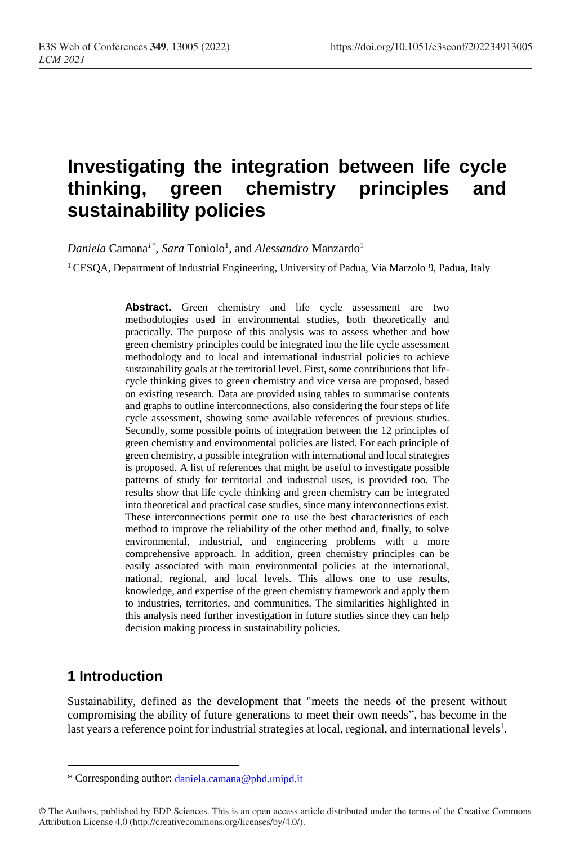# **Investigating the integration between life cycle thinking, green chemistry principles and sustainability policies**

 $Daniela$  Camana<sup>1\*</sup>, Sara Toniolo<sup>1</sup>, and Alessandro Manzardo<sup>1</sup>

<sup>1</sup> CESQA, Department of Industrial Engineering, University of Padua, Via Marzolo 9, Padua, Italy

Abstract. Green chemistry and life cycle assessment are two methodologies used in environmental studies, both theoretically and practically. The purpose of this analysis was to assess whether and how green chemistry principles could be integrated into the life cycle assessment methodology and to local and international industrial policies to achieve sustainability goals at the territorial level. First, some contributions that lifecycle thinking gives to green chemistry and vice versa are proposed, based on existing research. Data are provided using tables to summarise contents and graphs to outline interconnections, also considering the four steps of life cycle assessment, showing some available references of previous studies. Secondly, some possible points of integration between the 12 principles of green chemistry and environmental policies are listed. For each principle of green chemistry, a possible integration with international and local strategies is proposed. A list of references that might be useful to investigate possible patterns of study for territorial and industrial uses, is provided too. The results show that life cycle thinking and green chemistry can be integrated into theoretical and practical case studies, since many interconnections exist. These interconnections permit one to use the best characteristics of each method to improve the reliability of the other method and, finally, to solve environmental, industrial, and engineering problems with a more comprehensive approach. In addition, green chemistry principles can be easily associated with main environmental policies at the international, national, regional, and local levels. This allows one to use results, knowledge, and expertise of the green chemistry framework and apply them to industries, territories, and communities. The similarities highlighted in this analysis need further investigation in future studies since they can help decision making process in sustainability policies.

#### **1 Introduction**

 $\overline{a}$ 

Sustainability, defined as the development that "meets the needs of the present without compromising the ability of future generations to meet their own needs", has become in the last years a reference point for industrial strategies at local, regional, and international levels<sup>1</sup>.

<sup>\*</sup> Corresponding author: [daniela.camana@phd.unipd.it](mailto:daniela.camana@phd.unipd.it)

<sup>©</sup> The Authors, published by EDP Sciences. This is an open access article distributed under the terms of the Creative Commons Attribution License 4.0 (http://creativecommons.org/licenses/by/4.0/).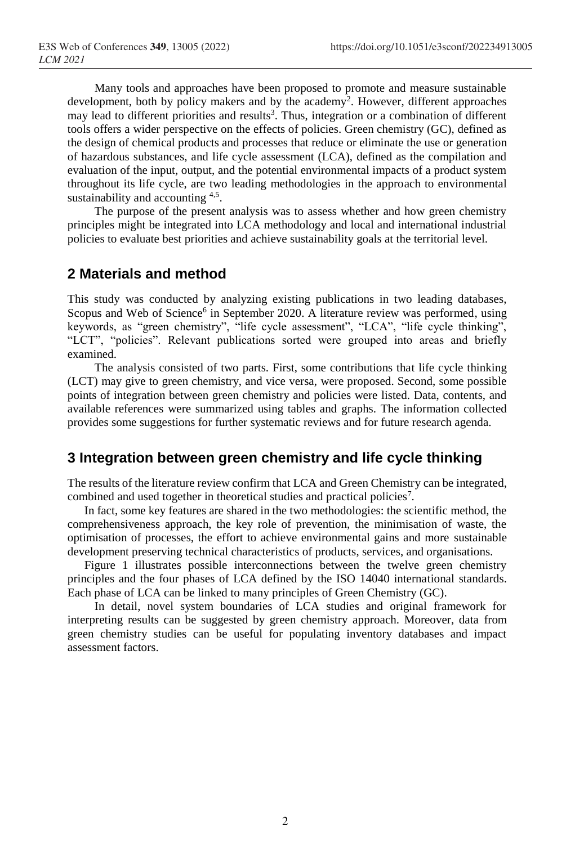Many tools and approaches have been proposed to promote and measure sustainable development, both by policy makers and by the academy<sup>2</sup>. However, different approaches may lead to different priorities and results<sup>3</sup>. Thus, integration or a combination of different tools offers a wider perspective on the effects of policies. Green chemistry (GC), defined as the design of chemical products and processes that reduce or eliminate the use or generation of hazardous substances, and life cycle assessment (LCA), defined as the compilation and evaluation of the input, output, and the potential environmental impacts of a product system throughout its life cycle, are two leading methodologies in the approach to environmental sustainability and accounting <sup>4,5</sup>.

The purpose of the present analysis was to assess whether and how green chemistry principles might be integrated into LCA methodology and local and international industrial policies to evaluate best priorities and achieve sustainability goals at the territorial level.

#### **2 Materials and method**

This study was conducted by analyzing existing publications in two leading databases, Scopus and Web of Science<sup>6</sup> in September 2020. A literature review was performed, using keywords, as "green chemistry", "life cycle assessment", "LCA", "life cycle thinking", "LCT", "policies". Relevant publications sorted were grouped into areas and briefly examined.

The analysis consisted of two parts. First, some contributions that life cycle thinking (LCT) may give to green chemistry, and vice versa, were proposed. Second, some possible points of integration between green chemistry and policies were listed. Data, contents, and available references were summarized using tables and graphs. The information collected provides some suggestions for further systematic reviews and for future research agenda.

### **3 Integration between green chemistry and life cycle thinking**

The results of the literature review confirm that LCA and Green Chemistry can be integrated, combined and used together in theoretical studies and practical policies<sup>7</sup>.

In fact, some key features are shared in the two methodologies: the scientific method, the comprehensiveness approach, the key role of prevention, the minimisation of waste, the optimisation of processes, the effort to achieve environmental gains and more sustainable development preserving technical characteristics of products, services, and organisations.

Figure 1 illustrates possible interconnections between the twelve green chemistry principles and the four phases of LCA defined by the ISO 14040 international standards. Each phase of LCA can be linked to many principles of Green Chemistry (GC).

In detail, novel system boundaries of LCA studies and original framework for interpreting results can be suggested by green chemistry approach. Moreover, data from green chemistry studies can be useful for populating inventory databases and impact assessment factors.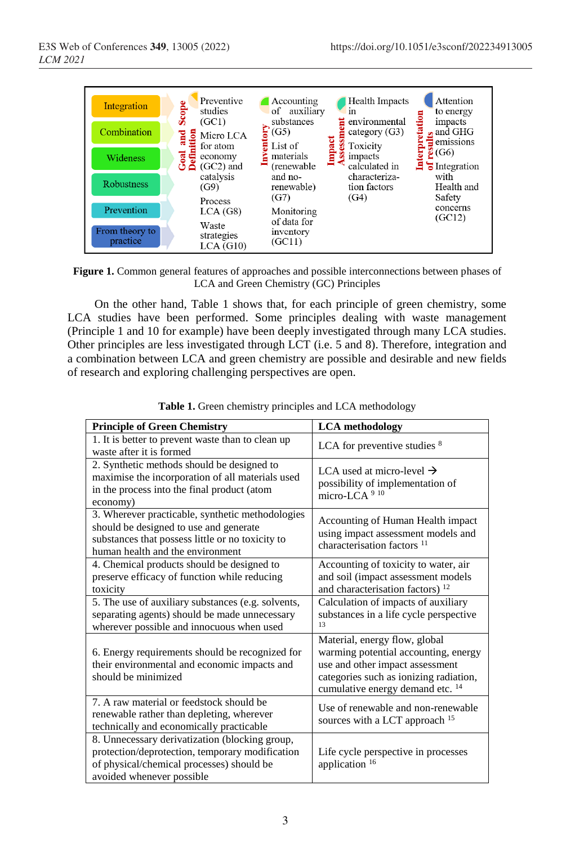

**Figure 1.** Common general features of approaches and possible interconnections between phases of LCA and Green Chemistry (GC) Principles

On the other hand, Table 1 shows that, for each principle of green chemistry, some LCA studies have been performed. Some principles dealing with waste management (Principle 1 and 10 for example) have been deeply investigated through many LCA studies. Other principles are less investigated through LCT (i.e. 5 and 8). Therefore, integration and a combination between LCA and green chemistry are possible and desirable and new fields of research and exploring challenging perspectives are open.

| <b>Principle of Green Chemistry</b>                                                                                                                                                | <b>LCA</b> methodology                                                                                                                                                                            |
|------------------------------------------------------------------------------------------------------------------------------------------------------------------------------------|---------------------------------------------------------------------------------------------------------------------------------------------------------------------------------------------------|
| 1. It is better to prevent waste than to clean up<br>waste after it is formed                                                                                                      | LCA for preventive studies 8                                                                                                                                                                      |
| 2. Synthetic methods should be designed to<br>maximise the incorporation of all materials used<br>in the process into the final product (atom<br>economy)                          | LCA used at micro-level $\rightarrow$<br>possibility of implementation of<br>micro-LCA <sup>9 10</sup>                                                                                            |
| 3. Wherever practicable, synthetic methodologies<br>should be designed to use and generate<br>substances that possess little or no toxicity to<br>human health and the environment | Accounting of Human Health impact<br>using impact assessment models and<br>characterisation factors <sup>11</sup>                                                                                 |
| 4. Chemical products should be designed to<br>preserve efficacy of function while reducing<br>toxicity                                                                             | Accounting of toxicity to water, air<br>and soil (impact assessment models<br>and characterisation factors) <sup>12</sup>                                                                         |
| 5. The use of auxiliary substances (e.g. solvents,<br>separating agents) should be made unnecessary<br>wherever possible and innocuous when used                                   | Calculation of impacts of auxiliary<br>substances in a life cycle perspective<br>13                                                                                                               |
| 6. Energy requirements should be recognized for<br>their environmental and economic impacts and<br>should be minimized                                                             | Material, energy flow, global<br>warming potential accounting, energy<br>use and other impact assessment<br>categories such as ionizing radiation,<br>cumulative energy demand etc. <sup>14</sup> |
| 7. A raw material or feedstock should be<br>renewable rather than depleting, wherever<br>technically and economically practicable                                                  | Use of renewable and non-renewable<br>sources with a LCT approach <sup>15</sup>                                                                                                                   |
| 8. Unnecessary derivatization (blocking group,<br>protection/deprotection, temporary modification<br>of physical/chemical processes) should be<br>avoided whenever possible        | Life cycle perspective in processes<br>application 16                                                                                                                                             |

**Table 1.** Green chemistry principles and LCA methodology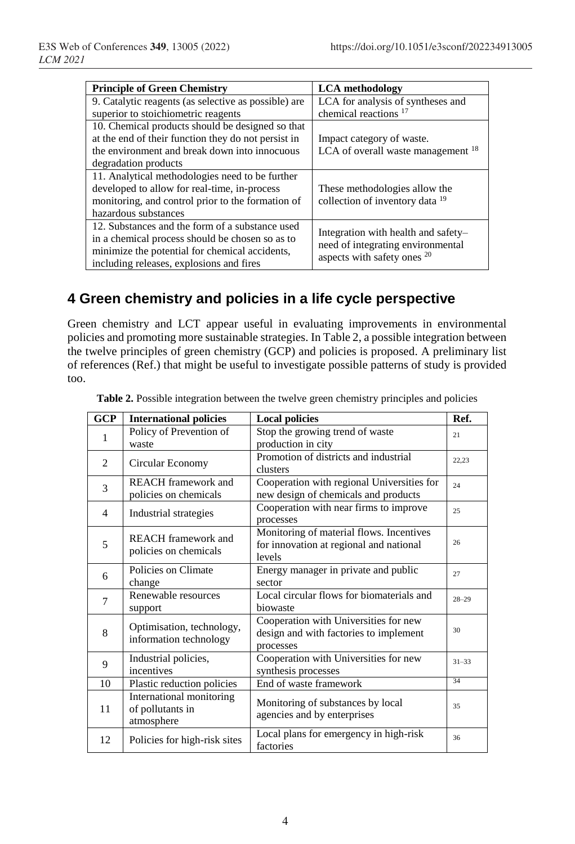| <b>Principle of Green Chemistry</b>                  | <b>LCA</b> methodology                                           |  |
|------------------------------------------------------|------------------------------------------------------------------|--|
| 9. Catalytic reagents (as selective as possible) are | LCA for analysis of syntheses and                                |  |
| superior to stoichiometric reagents                  | chemical reactions <sup>17</sup>                                 |  |
| 10. Chemical products should be designed so that     |                                                                  |  |
| at the end of their function they do not persist in  | Impact category of waste.                                        |  |
| the environment and break down into innocuous        | LCA of overall waste management <sup>18</sup>                    |  |
| degradation products                                 |                                                                  |  |
| 11. Analytical methodologies need to be further      |                                                                  |  |
| developed to allow for real-time, in-process         | These methodologies allow the                                    |  |
| monitoring, and control prior to the formation of    | collection of inventory data <sup>19</sup>                       |  |
| hazardous substances                                 |                                                                  |  |
| 12. Substances and the form of a substance used      | Integration with health and safety-                              |  |
| in a chemical process should be chosen so as to      |                                                                  |  |
| minimize the potential for chemical accidents,       | need of integrating environmental<br>aspects with safety ones 20 |  |
| including releases, explosions and fires             |                                                                  |  |

# **4 Green chemistry and policies in a life cycle perspective**

Green chemistry and LCT appear useful in evaluating improvements in environmental policies and promoting more sustainable strategies. In Table 2, a possible integration between the twelve principles of green chemistry (GCP) and policies is proposed. A preliminary list of references (Ref.) that might be useful to investigate possible patterns of study is provided too.

| <b>GCP</b>     | <b>International policies</b>                              | <b>Local policies</b>                                                                         | Ref.      |
|----------------|------------------------------------------------------------|-----------------------------------------------------------------------------------------------|-----------|
| 1              | Policy of Prevention of<br>waste                           | Stop the growing trend of waste<br>production in city                                         | 21        |
| 2              | Circular Economy                                           | Promotion of districts and industrial<br>clusters                                             | 22,23     |
| 3              | <b>REACH</b> framework and<br>policies on chemicals        | Cooperation with regional Universities for<br>new design of chemicals and products            | 24        |
| $\overline{4}$ | Industrial strategies                                      | Cooperation with near firms to improve<br>processes                                           | 25        |
| 5              | <b>REACH</b> framework and<br>policies on chemicals        | Monitoring of material flows. Incentives<br>for innovation at regional and national<br>levels | 26        |
| 6              | Policies on Climate<br>change                              | Energy manager in private and public<br>sector                                                | 27        |
| 7              | Renewable resources<br>support                             | Local circular flows for biomaterials and<br>biowaste                                         | $28 - 29$ |
| 8              | Optimisation, technology,<br>information technology        | Cooperation with Universities for new<br>design and with factories to implement<br>processes  | 30        |
| 9              | Industrial policies,<br>incentives                         | Cooperation with Universities for new<br>synthesis processes                                  | $31 - 33$ |
| 10             | Plastic reduction policies                                 | End of waste framework                                                                        | 34        |
| 11             | International monitoring<br>of pollutants in<br>atmosphere | Monitoring of substances by local<br>agencies and by enterprises                              | 35        |
| 12             | Policies for high-risk sites                               | Local plans for emergency in high-risk<br>factories                                           | 36        |

**Table 2.** Possible integration between the twelve green chemistry principles and policies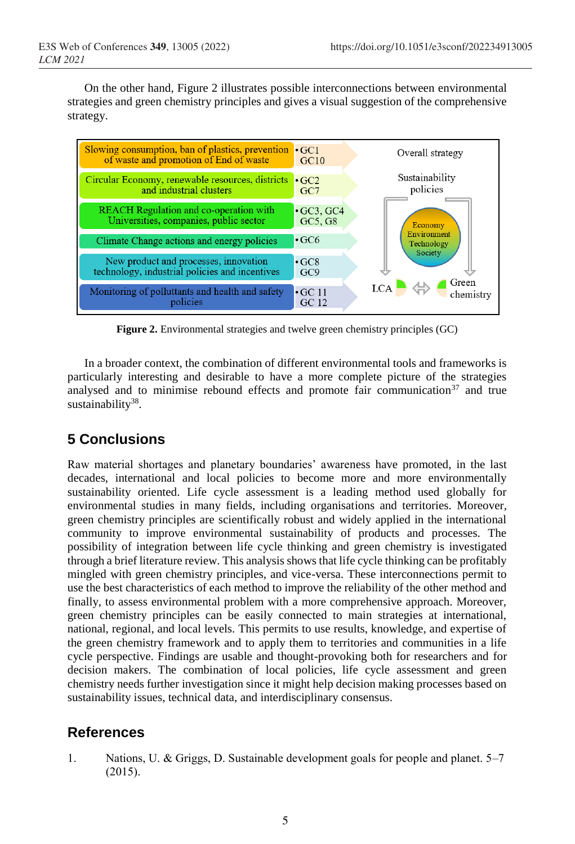On the other hand, Figure 2 illustrates possible interconnections between environmental strategies and green chemistry principles and gives a visual suggestion of the comprehensive strategy.



**Figure 2.** Environmental strategies and twelve green chemistry principles (GC)

In a broader context, the combination of different environmental tools and frameworks is particularly interesting and desirable to have a more complete picture of the strategies analysed and to minimise rebound effects and promote fair communication<sup>37</sup> and true sustainability<sup>38</sup>.

## **5 Conclusions**

Raw material shortages and planetary boundaries' awareness have promoted, in the last decades, international and local policies to become more and more environmentally sustainability oriented. Life cycle assessment is a leading method used globally for environmental studies in many fields, including organisations and territories. Moreover, green chemistry principles are scientifically robust and widely applied in the international community to improve environmental sustainability of products and processes. The possibility of integration between life cycle thinking and green chemistry is investigated through a brief literature review. This analysis shows that life cycle thinking can be profitably mingled with green chemistry principles, and vice-versa. These interconnections permit to use the best characteristics of each method to improve the reliability of the other method and finally, to assess environmental problem with a more comprehensive approach. Moreover, green chemistry principles can be easily connected to main strategies at international, national, regional, and local levels. This permits to use results, knowledge, and expertise of the green chemistry framework and to apply them to territories and communities in a life cycle perspective. Findings are usable and thought-provoking both for researchers and for decision makers. The combination of local policies, life cycle assessment and green chemistry needs further investigation since it might help decision making processes based on sustainability issues, technical data, and interdisciplinary consensus.

## **References**

1. Nations, U. & Griggs, D. Sustainable development goals for people and planet. 5–7 (2015).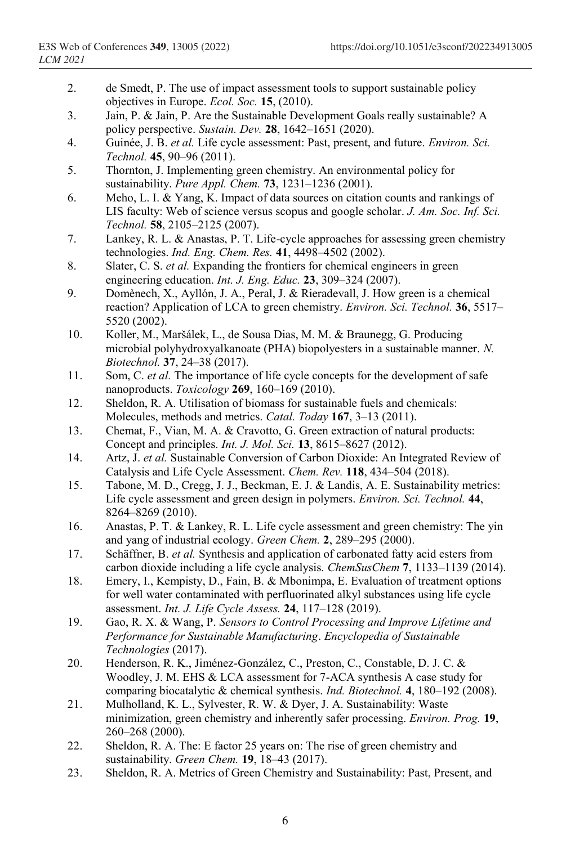- 2. de Smedt, P. The use of impact assessment tools to support sustainable policy objectives in Europe. *Ecol. Soc.* **15**, (2010).
- 3. Jain, P. & Jain, P. Are the Sustainable Development Goals really sustainable? A policy perspective. *Sustain. Dev.* **28**, 1642–1651 (2020).
- 4. Guinée, J. B. *et al.* Life cycle assessment: Past, present, and future. *Environ. Sci. Technol.* **45**, 90–96 (2011).
- 5. Thornton, J. Implementing green chemistry. An environmental policy for sustainability. *Pure Appl. Chem.* **73**, 1231–1236 (2001).
- 6. Meho, L. I. & Yang, K. Impact of data sources on citation counts and rankings of LIS faculty: Web of science versus scopus and google scholar. *J. Am. Soc. Inf. Sci. Technol.* **58**, 2105–2125 (2007).
- 7. Lankey, R. L. & Anastas, P. T. Life-cycle approaches for assessing green chemistry technologies. *Ind. Eng. Chem. Res.* **41**, 4498–4502 (2002).
- 8. Slater, C. S. *et al.* Expanding the frontiers for chemical engineers in green engineering education. *Int. J. Eng. Educ.* **23**, 309–324 (2007).
- 9. Domènech, X., Ayllón, J. A., Peral, J. & Rieradevall, J. How green is a chemical reaction? Application of LCA to green chemistry. *Environ. Sci. Technol.* **36**, 5517– 5520 (2002).
- 10. Koller, M., Maršálek, L., de Sousa Dias, M. M. & Braunegg, G. Producing microbial polyhydroxyalkanoate (PHA) biopolyesters in a sustainable manner. *N. Biotechnol.* **37**, 24–38 (2017).
- 11. Som, C. *et al.* The importance of life cycle concepts for the development of safe nanoproducts. *Toxicology* **269**, 160–169 (2010).
- 12. Sheldon, R. A. Utilisation of biomass for sustainable fuels and chemicals: Molecules, methods and metrics. *Catal. Today* **167**, 3–13 (2011).
- 13. Chemat, F., Vian, M. A. & Cravotto, G. Green extraction of natural products: Concept and principles. *Int. J. Mol. Sci.* **13**, 8615–8627 (2012).
- 14. Artz, J. *et al.* Sustainable Conversion of Carbon Dioxide: An Integrated Review of Catalysis and Life Cycle Assessment. *Chem. Rev.* **118**, 434–504 (2018).
- 15. Tabone, M. D., Cregg, J. J., Beckman, E. J. & Landis, A. E. Sustainability metrics: Life cycle assessment and green design in polymers. *Environ. Sci. Technol.* **44**, 8264–8269 (2010).
- 16. Anastas, P. T. & Lankey, R. L. Life cycle assessment and green chemistry: The yin and yang of industrial ecology. *Green Chem.* **2**, 289–295 (2000).
- 17. Schäffner, B. *et al.* Synthesis and application of carbonated fatty acid esters from carbon dioxide including a life cycle analysis. *ChemSusChem* **7**, 1133–1139 (2014).
- 18. Emery, I., Kempisty, D., Fain, B. & Mbonimpa, E. Evaluation of treatment options for well water contaminated with perfluorinated alkyl substances using life cycle assessment. *Int. J. Life Cycle Assess.* **24**, 117–128 (2019).
- 19. Gao, R. X. & Wang, P. *Sensors to Control Processing and Improve Lifetime and Performance for Sustainable Manufacturing*. *Encyclopedia of Sustainable Technologies* (2017).
- 20. Henderson, R. K., Jiménez-González, C., Preston, C., Constable, D. J. C. & Woodley, J. M. EHS & LCA assessment for 7-ACA synthesis A case study for comparing biocatalytic & chemical synthesis. *Ind. Biotechnol.* **4**, 180–192 (2008).
- 21. Mulholland, K. L., Sylvester, R. W. & Dyer, J. A. Sustainability: Waste minimization, green chemistry and inherently safer processing. *Environ. Prog.* **19**, 260–268 (2000).
- 22. Sheldon, R. A. The: E factor 25 years on: The rise of green chemistry and sustainability. *Green Chem.* **19**, 18–43 (2017).
- 23. Sheldon, R. A. Metrics of Green Chemistry and Sustainability: Past, Present, and